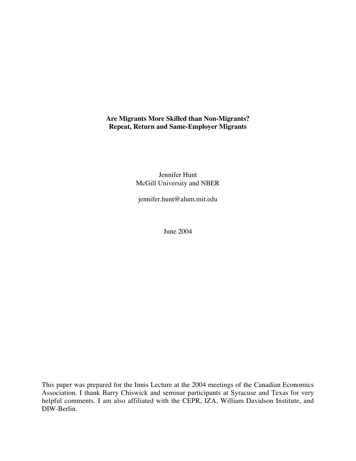# **Are Migrants More Skilled than Non-Migrants? Repeat, Return and Same-Employer Migrants**

Jennifer Hunt McGill University and NBER

jennifer.hunt@alum.mit.edu

June 2004

This paper was prepared for the Innis Lecture at the 2004 meetings of the Canadian Economics Association. I thank Barry Chiswick and seminar participants at Syracuse and Texas for very helpful comments. I am also affiliated with the CEPR, IZA, William Davidson Institute, and DIW-Berlin.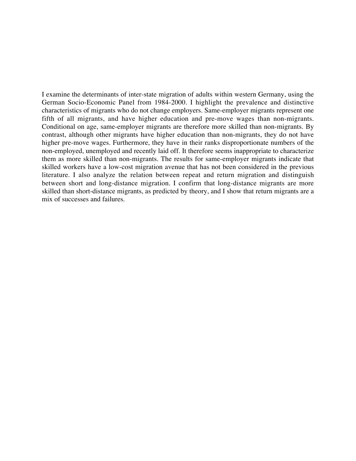I examine the determinants of inter-state migration of adults within western Germany, using the German Socio-Economic Panel from 1984-2000. I highlight the prevalence and distinctive characteristics of migrants who do not change employers. Same-employer migrants represent one fifth of all migrants, and have higher education and pre-move wages than non-migrants. Conditional on age, same-employer migrants are therefore more skilled than non-migrants. By contrast, although other migrants have higher education than non-migrants, they do not have higher pre-move wages. Furthermore, they have in their ranks disproportionate numbers of the non-employed, unemployed and recently laid off. It therefore seems inappropriate to characterize them as more skilled than non-migrants. The results for same-employer migrants indicate that skilled workers have a low-cost migration avenue that has not been considered in the previous literature. I also analyze the relation between repeat and return migration and distinguish between short and long-distance migration. I confirm that long-distance migrants are more skilled than short-distance migrants, as predicted by theory, and I show that return migrants are a mix of successes and failures.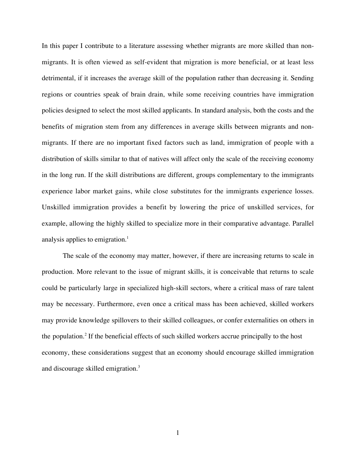In this paper I contribute to a literature assessing whether migrants are more skilled than nonmigrants. It is often viewed as self-evident that migration is more beneficial, or at least less detrimental, if it increases the average skill of the population rather than decreasing it. Sending regions or countries speak of brain drain, while some receiving countries have immigration policies designed to select the most skilled applicants. In standard analysis, both the costs and the benefits of migration stem from any differences in average skills between migrants and nonmigrants. If there are no important fixed factors such as land, immigration of people with a distribution of skills similar to that of natives will affect only the scale of the receiving economy in the long run. If the skill distributions are different, groups complementary to the immigrants experience labor market gains, while close substitutes for the immigrants experience losses. Unskilled immigration provides a benefit by lowering the price of unskilled services, for example, allowing the highly skilled to specialize more in their comparative advantage. Parallel analysis applies to emigration.<sup>1</sup>

The scale of the economy may matter, however, if there are increasing returns to scale in production. More relevant to the issue of migrant skills, it is conceivable that returns to scale could be particularly large in specialized high-skill sectors, where a critical mass of rare talent may be necessary. Furthermore, even once a critical mass has been achieved, skilled workers may provide knowledge spillovers to their skilled colleagues, or confer externalities on others in the population.<sup>2</sup> If the beneficial effects of such skilled workers accrue principally to the host economy, these considerations suggest that an economy should encourage skilled immigration and discourage skilled emigration.<sup>3</sup>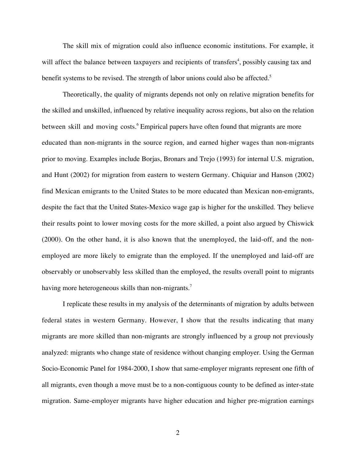The skill mix of migration could also influence economic institutions. For example, it will affect the balance between taxpayers and recipients of transfers<sup>4</sup>, possibly causing tax and benefit systems to be revised. The strength of labor unions could also be affected.<sup>5</sup>

Theoretically, the quality of migrants depends not only on relative migration benefits for the skilled and unskilled, influenced by relative inequality across regions, but also on the relation between skill and moving costs.<sup>6</sup> Empirical papers have often found that migrants are more educated than non-migrants in the source region, and earned higher wages than non-migrants prior to moving. Examples include Borjas, Bronars and Trejo (1993) for internal U.S. migration, and Hunt (2002) for migration from eastern to western Germany. Chiquiar and Hanson (2002) find Mexican emigrants to the United States to be more educated than Mexican non-emigrants, despite the fact that the United States-Mexico wage gap is higher for the unskilled. They believe their results point to lower moving costs for the more skilled, a point also argued by Chiswick (2000). On the other hand, it is also known that the unemployed, the laid-off, and the nonemployed are more likely to emigrate than the employed. If the unemployed and laid-off are observably or unobservably less skilled than the employed, the results overall point to migrants having more heterogeneous skills than non-migrants.<sup>7</sup>

I replicate these results in my analysis of the determinants of migration by adults between federal states in western Germany. However, I show that the results indicating that many migrants are more skilled than non-migrants are strongly influenced by a group not previously analyzed: migrants who change state of residence without changing employer. Using the German Socio-Economic Panel for 1984-2000, I show that same-employer migrants represent one fifth of all migrants, even though a move must be to a non-contiguous county to be defined as inter-state migration. Same-employer migrants have higher education and higher pre-migration earnings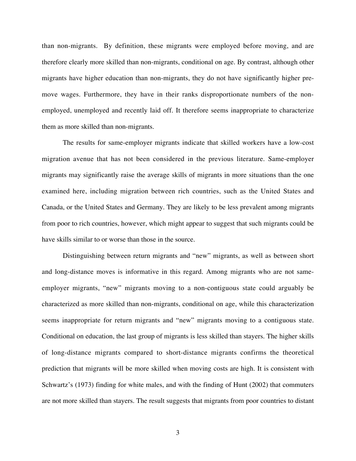than non-migrants. By definition, these migrants were employed before moving, and are therefore clearly more skilled than non-migrants, conditional on age. By contrast, although other migrants have higher education than non-migrants, they do not have significantly higher premove wages. Furthermore, they have in their ranks disproportionate numbers of the nonemployed, unemployed and recently laid off. It therefore seems inappropriate to characterize them as more skilled than non-migrants.

The results for same-employer migrants indicate that skilled workers have a low-cost migration avenue that has not been considered in the previous literature. Same-employer migrants may significantly raise the average skills of migrants in more situations than the one examined here, including migration between rich countries, such as the United States and Canada, or the United States and Germany. They are likely to be less prevalent among migrants from poor to rich countries, however, which might appear to suggest that such migrants could be have skills similar to or worse than those in the source.

Distinguishing between return migrants and "new" migrants, as well as between short and long-distance moves is informative in this regard. Among migrants who are not sameemployer migrants, "new" migrants moving to a non-contiguous state could arguably be characterized as more skilled than non-migrants, conditional on age, while this characterization seems inappropriate for return migrants and "new" migrants moving to a contiguous state. Conditional on education, the last group of migrants is less skilled than stayers. The higher skills of long-distance migrants compared to short-distance migrants confirms the theoretical prediction that migrants will be more skilled when moving costs are high. It is consistent with Schwartz's (1973) finding for white males, and with the finding of Hunt (2002) that commuters are not more skilled than stayers. The result suggests that migrants from poor countries to distant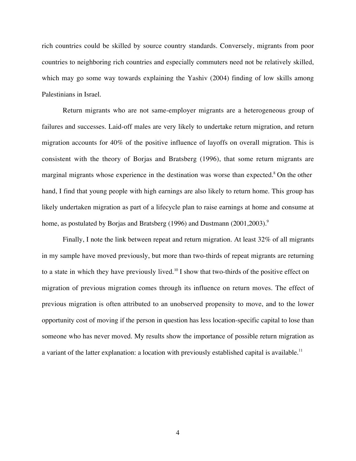rich countries could be skilled by source country standards. Conversely, migrants from poor countries to neighboring rich countries and especially commuters need not be relatively skilled, which may go some way towards explaining the Yashiv (2004) finding of low skills among Palestinians in Israel.

Return migrants who are not same-employer migrants are a heterogeneous group of failures and successes. Laid-off males are very likely to undertake return migration, and return migration accounts for 40% of the positive influence of layoffs on overall migration. This is consistent with the theory of Borjas and Bratsberg (1996), that some return migrants are marginal migrants whose experience in the destination was worse than expected.<sup>8</sup> On the other hand, I find that young people with high earnings are also likely to return home. This group has likely undertaken migration as part of a lifecycle plan to raise earnings at home and consume at home, as postulated by Borjas and Bratsberg (1996) and Dustmann (2001,2003).<sup>9</sup>

Finally, I note the link between repeat and return migration. At least 32% of all migrants in my sample have moved previously, but more than two-thirds of repeat migrants are returning to a state in which they have previously lived.<sup>10</sup> I show that two-thirds of the positive effect on migration of previous migration comes through its influence on return moves. The effect of previous migration is often attributed to an unobserved propensity to move, and to the lower opportunity cost of moving if the person in question has less location-specific capital to lose than someone who has never moved. My results show the importance of possible return migration as a variant of the latter explanation: a location with previously established capital is available.<sup>11</sup>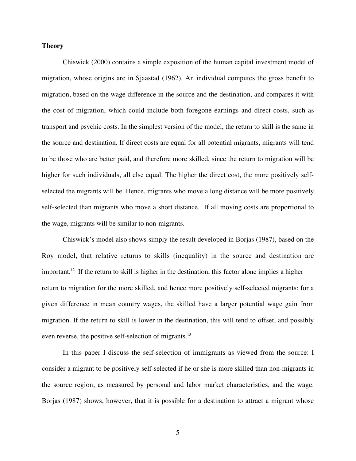### **Theory**

Chiswick (2000) contains a simple exposition of the human capital investment model of migration, whose origins are in Sjaastad (1962). An individual computes the gross benefit to migration, based on the wage difference in the source and the destination, and compares it with the cost of migration, which could include both foregone earnings and direct costs, such as transport and psychic costs. In the simplest version of the model, the return to skill is the same in the source and destination. If direct costs are equal for all potential migrants, migrants will tend to be those who are better paid, and therefore more skilled, since the return to migration will be higher for such individuals, all else equal. The higher the direct cost, the more positively selfselected the migrants will be. Hence, migrants who move a long distance will be more positively self-selected than migrants who move a short distance. If all moving costs are proportional to the wage, migrants will be similar to non-migrants.

Chiswick's model also shows simply the result developed in Borjas (1987), based on the Roy model, that relative returns to skills (inequality) in the source and destination are important.<sup>12</sup> If the return to skill is higher in the destination, this factor alone implies a higher return to migration for the more skilled, and hence more positively self-selected migrants: for a given difference in mean country wages, the skilled have a larger potential wage gain from migration. If the return to skill is lower in the destination, this will tend to offset, and possibly even reverse, the positive self-selection of migrants.<sup>13</sup>

In this paper I discuss the self-selection of immigrants as viewed from the source: I consider a migrant to be positively self-selected if he or she is more skilled than non-migrants in the source region, as measured by personal and labor market characteristics, and the wage. Borjas (1987) shows, however, that it is possible for a destination to attract a migrant whose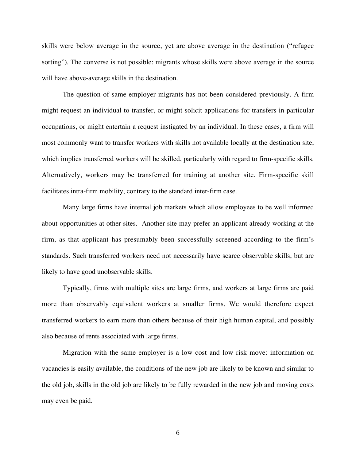skills were below average in the source, yet are above average in the destination ("refugee sorting"). The converse is not possible: migrants whose skills were above average in the source will have above-average skills in the destination.

The question of same-employer migrants has not been considered previously. A firm might request an individual to transfer, or might solicit applications for transfers in particular occupations, or might entertain a request instigated by an individual. In these cases, a firm will most commonly want to transfer workers with skills not available locally at the destination site, which implies transferred workers will be skilled, particularly with regard to firm-specific skills. Alternatively, workers may be transferred for training at another site. Firm-specific skill facilitates intra-firm mobility, contrary to the standard inter-firm case.

Many large firms have internal job markets which allow employees to be well informed about opportunities at other sites. Another site may prefer an applicant already working at the firm, as that applicant has presumably been successfully screened according to the firm's standards. Such transferred workers need not necessarily have scarce observable skills, but are likely to have good unobservable skills.

Typically, firms with multiple sites are large firms, and workers at large firms are paid more than observably equivalent workers at smaller firms. We would therefore expect transferred workers to earn more than others because of their high human capital, and possibly also because of rents associated with large firms.

Migration with the same employer is a low cost and low risk move: information on vacancies is easily available, the conditions of the new job are likely to be known and similar to the old job, skills in the old job are likely to be fully rewarded in the new job and moving costs may even be paid.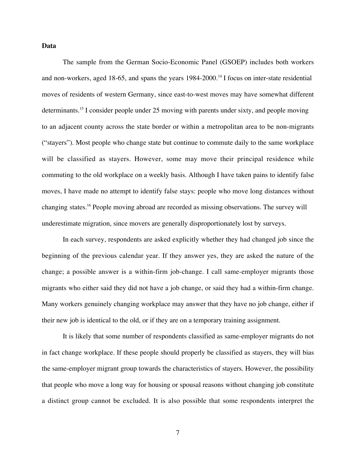#### **Data**

The sample from the German Socio-Economic Panel (GSOEP) includes both workers and non-workers, aged 18-65, and spans the years 1984-2000.<sup>14</sup> I focus on inter-state residential moves of residents of western Germany, since east-to-west moves may have somewhat different determinants.<sup>15</sup> I consider people under 25 moving with parents under sixty, and people moving to an adjacent county across the state border or within a metropolitan area to be non-migrants ("stayers"). Most people who change state but continue to commute daily to the same workplace will be classified as stayers. However, some may move their principal residence while commuting to the old workplace on a weekly basis. Although I have taken pains to identify false moves, I have made no attempt to identify false stays: people who move long distances without changing states.<sup>16</sup> People moving abroad are recorded as missing observations. The survey will underestimate migration, since movers are generally disproportionately lost by surveys.

In each survey, respondents are asked explicitly whether they had changed job since the beginning of the previous calendar year. If they answer yes, they are asked the nature of the change; a possible answer is a within-firm job-change. I call same-employer migrants those migrants who either said they did not have a job change, or said they had a within-firm change. Many workers genuinely changing workplace may answer that they have no job change, either if their new job is identical to the old, or if they are on a temporary training assignment.

It is likely that some number of respondents classified as same-employer migrants do not in fact change workplace. If these people should properly be classified as stayers, they will bias the same-employer migrant group towards the characteristics of stayers. However, the possibility that people who move a long way for housing or spousal reasons without changing job constitute a distinct group cannot be excluded. It is also possible that some respondents interpret the

7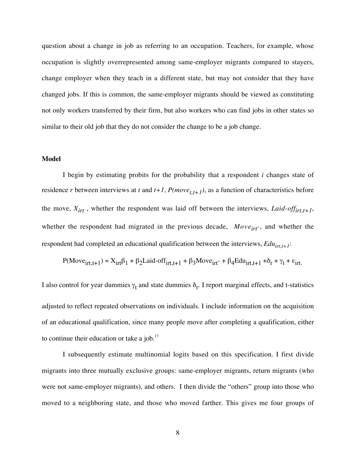question about a change in job as referring to an occupation. Teachers, for example, whose occupation is slightly overrepresented among same-employer migrants compared to stayers, change employer when they teach in a different state, but may not consider that they have changed jobs. If this is common, the same-employer migrants should be viewed as constituting not only workers transferred by their firm, but also workers who can find jobs in other states so similar to their old job that they do not consider the change to be a job change.

### **Model**

I begin by estimating probits for the probability that a respondent *i* changes state of residence *r* between interviews at *t* and  $t+1$ ,  $P(move_{t,t+1})$ , as a function of characteristics before the move,  $X_{irt}$ , whether the respondent was laid off between the interviews, *Laid-off*<sub>irt,t+1</sub>, whether the respondent had migrated in the previous decade,  $Move_{irt}$ , and whether the respondent had completed an educational qualification between the interviews,  $Edu_{irt,t+1}$ :

$$
P(Moveirt,t+1) = Xirtβ1 + β2Laid-offirt,t+1 + β3Moveirt - 4 β4Eduirt,t+1 + δr + γt + εirt.
$$

I also control for year dummies  $\gamma_t$  and state dummies  $\delta_r$ . I report marginal effects, and t-statistics adjusted to reflect repeated observations on individuals. I include information on the acquisition of an educational qualification, since many people move after completing a qualification, either to continue their education or take a job. $17$ 

I subsequently estimate multinomial logits based on this specification. I first divide migrants into three mutually exclusive groups: same-employer migrants, return migrants (who were not same-employer migrants), and others. I then divide the "others" group into those who moved to a neighboring state, and those who moved farther. This gives me four groups of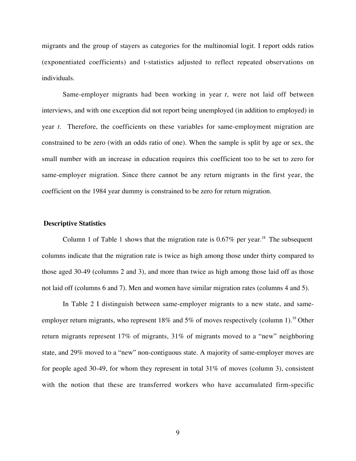migrants and the group of stayers as categories for the multinomial logit. I report odds ratios (exponentiated coefficients) and t-statistics adjusted to reflect repeated observations on individuals.

Same-employer migrants had been working in year *t*, were not laid off between interviews, and with one exception did not report being unemployed (in addition to employed) in year *t*. Therefore, the coefficients on these variables for same-employment migration are constrained to be zero (with an odds ratio of one). When the sample is split by age or sex, the small number with an increase in education requires this coefficient too to be set to zero for same-employer migration. Since there cannot be any return migrants in the first year, the coefficient on the 1984 year dummy is constrained to be zero for return migration.

#### **Descriptive Statistics**

Column 1 of Table 1 shows that the migration rate is  $0.67\%$  per year.<sup>18</sup> The subsequent columns indicate that the migration rate is twice as high among those under thirty compared to those aged 30-49 (columns 2 and 3), and more than twice as high among those laid off as those not laid off (columns 6 and 7). Men and women have similar migration rates (columns 4 and 5).

In Table 2 I distinguish between same-employer migrants to a new state, and sameemployer return migrants, who represent 18% and 5% of moves respectively (column 1).<sup>19</sup> Other return migrants represent 17% of migrants, 31% of migrants moved to a "new" neighboring state, and 29% moved to a "new" non-contiguous state. A majority of same-employer moves are for people aged 30-49, for whom they represent in total 31% of moves (column 3), consistent with the notion that these are transferred workers who have accumulated firm-specific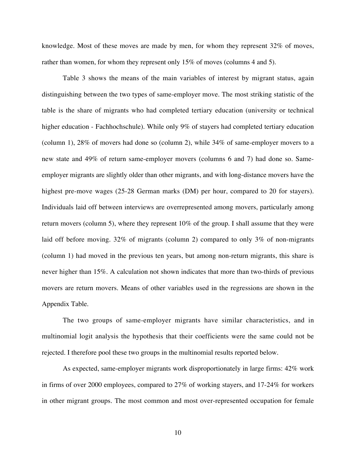knowledge. Most of these moves are made by men, for whom they represent 32% of moves, rather than women, for whom they represent only 15% of moves (columns 4 and 5).

Table 3 shows the means of the main variables of interest by migrant status, again distinguishing between the two types of same-employer move. The most striking statistic of the table is the share of migrants who had completed tertiary education (university or technical higher education - Fachhochschule). While only 9% of stayers had completed tertiary education (column 1), 28% of movers had done so (column 2), while 34% of same-employer movers to a new state and 49% of return same-employer movers (columns 6 and 7) had done so. Sameemployer migrants are slightly older than other migrants, and with long-distance movers have the highest pre-move wages (25-28 German marks (DM) per hour, compared to 20 for stayers). Individuals laid off between interviews are overrepresented among movers, particularly among return movers (column 5), where they represent 10% of the group. I shall assume that they were laid off before moving. 32% of migrants (column 2) compared to only 3% of non-migrants (column 1) had moved in the previous ten years, but among non-return migrants, this share is never higher than 15%. A calculation not shown indicates that more than two-thirds of previous movers are return movers. Means of other variables used in the regressions are shown in the Appendix Table.

The two groups of same-employer migrants have similar characteristics, and in multinomial logit analysis the hypothesis that their coefficients were the same could not be rejected. I therefore pool these two groups in the multinomial results reported below.

As expected, same-employer migrants work disproportionately in large firms: 42% work in firms of over 2000 employees, compared to 27% of working stayers, and 17-24% for workers in other migrant groups. The most common and most over-represented occupation for female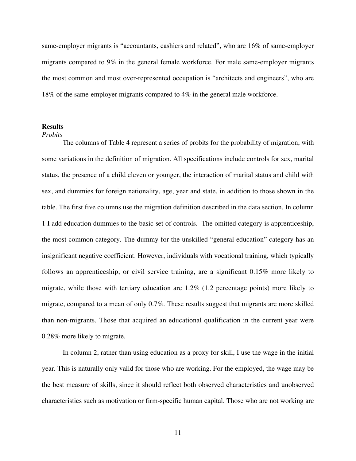same-employer migrants is "accountants, cashiers and related", who are 16% of same-employer migrants compared to 9% in the general female workforce. For male same-employer migrants the most common and most over-represented occupation is "architects and engineers", who are 18% of the same-employer migrants compared to 4% in the general male workforce.

### **Results**

#### *Probits*

The columns of Table 4 represent a series of probits for the probability of migration, with some variations in the definition of migration. All specifications include controls for sex, marital status, the presence of a child eleven or younger, the interaction of marital status and child with sex, and dummies for foreign nationality, age, year and state, in addition to those shown in the table. The first five columns use the migration definition described in the data section. In column 1 I add education dummies to the basic set of controls. The omitted category is apprenticeship, the most common category. The dummy for the unskilled "general education" category has an insignificant negative coefficient. However, individuals with vocational training, which typically follows an apprenticeship, or civil service training, are a significant 0.15% more likely to migrate, while those with tertiary education are 1.2% (1.2 percentage points) more likely to migrate, compared to a mean of only 0.7%. These results suggest that migrants are more skilled than non-migrants. Those that acquired an educational qualification in the current year were 0.28% more likely to migrate.

In column 2, rather than using education as a proxy for skill, I use the wage in the initial year. This is naturally only valid for those who are working. For the employed, the wage may be the best measure of skills, since it should reflect both observed characteristics and unobserved characteristics such as motivation or firm-specific human capital. Those who are not working are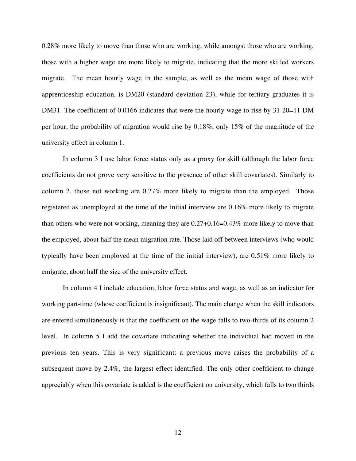0.28% more likely to move than those who are working, while amongst those who are working, those with a higher wage are more likely to migrate, indicating that the more skilled workers migrate. The mean hourly wage in the sample, as well as the mean wage of those with apprenticeship education, is DM20 (standard deviation 23), while for tertiary graduates it is DM31. The coefficient of 0.0166 indicates that were the hourly wage to rise by 31-20=11 DM per hour, the probability of migration would rise by 0.18%, only 15% of the magnitude of the university effect in column 1.

In column 3 I use labor force status only as a proxy for skill (although the labor force coefficients do not prove very sensitive to the presence of other skill covariates). Similarly to column 2, those not working are 0.27% more likely to migrate than the employed. Those registered as unemployed at the time of the initial interview are 0.16% more likely to migrate than others who were not working, meaning they are 0.27+0.16=0.43% more likely to move than the employed, about half the mean migration rate. Those laid off between interviews (who would typically have been employed at the time of the initial interview), are 0.51% more likely to emigrate, about half the size of the university effect.

In column 4 I include education, labor force status and wage, as well as an indicator for working part-time (whose coefficient is insignificant). The main change when the skill indicators are entered simultaneously is that the coefficient on the wage falls to two-thirds of its column 2 level. In column 5 I add the covariate indicating whether the individual had moved in the previous ten years. This is very significant: a previous move raises the probability of a subsequent move by 2.4%, the largest effect identified. The only other coefficient to change appreciably when this covariate is added is the coefficient on university, which falls to two thirds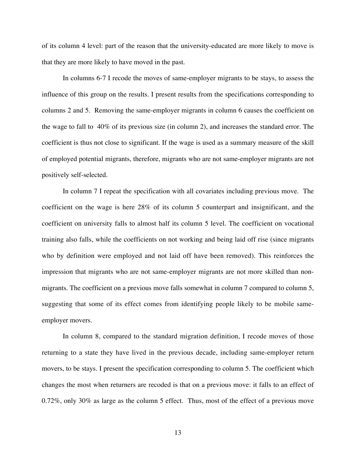of its column 4 level: part of the reason that the university-educated are more likely to move is that they are more likely to have moved in the past.

In columns 6-7 I recode the moves of same-employer migrants to be stays, to assess the influence of this group on the results. I present results from the specifications corresponding to columns 2 and 5. Removing the same-employer migrants in column 6 causes the coefficient on the wage to fall to 40% of its previous size (in column 2), and increases the standard error. The coefficient is thus not close to significant. If the wage is used as a summary measure of the skill of employed potential migrants, therefore, migrants who are not same-employer migrants are not positively self-selected.

In column 7 I repeat the specification with all covariates including previous move. The coefficient on the wage is here 28% of its column 5 counterpart and insignificant, and the coefficient on university falls to almost half its column 5 level. The coefficient on vocational training also falls, while the coefficients on not working and being laid off rise (since migrants who by definition were employed and not laid off have been removed). This reinforces the impression that migrants who are not same-employer migrants are not more skilled than nonmigrants. The coefficient on a previous move falls somewhat in column 7 compared to column 5, suggesting that some of its effect comes from identifying people likely to be mobile sameemployer movers.

In column 8, compared to the standard migration definition, I recode moves of those returning to a state they have lived in the previous decade, including same-employer return movers, to be stays. I present the specification corresponding to column 5. The coefficient which changes the most when returners are recoded is that on a previous move: it falls to an effect of 0.72%, only 30% as large as the column 5 effect. Thus, most of the effect of a previous move

13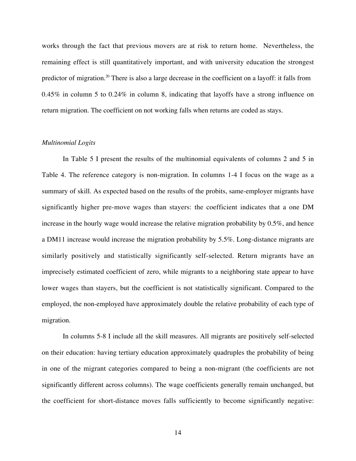works through the fact that previous movers are at risk to return home. Nevertheless, the remaining effect is still quantitatively important, and with university education the strongest predictor of migration.<sup>20</sup> There is also a large decrease in the coefficient on a layoff: it falls from 0.45% in column 5 to 0.24% in column 8, indicating that layoffs have a strong influence on return migration. The coefficient on not working falls when returns are coded as stays.

#### *Multinomial Logits*

In Table 5 I present the results of the multinomial equivalents of columns 2 and 5 in Table 4. The reference category is non-migration. In columns 1-4 I focus on the wage as a summary of skill. As expected based on the results of the probits, same-employer migrants have significantly higher pre-move wages than stayers: the coefficient indicates that a one DM increase in the hourly wage would increase the relative migration probability by 0.5%, and hence a DM11 increase would increase the migration probability by 5.5%. Long-distance migrants are similarly positively and statistically significantly self-selected. Return migrants have an imprecisely estimated coefficient of zero, while migrants to a neighboring state appear to have lower wages than stayers, but the coefficient is not statistically significant. Compared to the employed, the non-employed have approximately double the relative probability of each type of migration.

In columns 5-8 I include all the skill measures. All migrants are positively self-selected on their education: having tertiary education approximately quadruples the probability of being in one of the migrant categories compared to being a non-migrant (the coefficients are not significantly different across columns). The wage coefficients generally remain unchanged, but the coefficient for short-distance moves falls sufficiently to become significantly negative:

14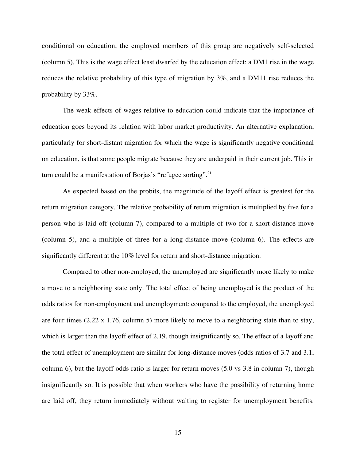conditional on education, the employed members of this group are negatively self-selected (column 5). This is the wage effect least dwarfed by the education effect: a DM1 rise in the wage reduces the relative probability of this type of migration by 3%, and a DM11 rise reduces the probability by 33%.

The weak effects of wages relative to education could indicate that the importance of education goes beyond its relation with labor market productivity. An alternative explanation, particularly for short-distant migration for which the wage is significantly negative conditional on education, is that some people migrate because they are underpaid in their current job. This in turn could be a manifestation of Borjas's "refugee sorting".<sup>21</sup>

As expected based on the probits, the magnitude of the layoff effect is greatest for the return migration category. The relative probability of return migration is multiplied by five for a person who is laid off (column 7), compared to a multiple of two for a short-distance move (column 5), and a multiple of three for a long-distance move (column 6). The effects are significantly different at the 10% level for return and short-distance migration.

Compared to other non-employed, the unemployed are significantly more likely to make a move to a neighboring state only. The total effect of being unemployed is the product of the odds ratios for non-employment and unemployment: compared to the employed, the unemployed are four times (2.22 x 1.76, column 5) more likely to move to a neighboring state than to stay, which is larger than the layoff effect of 2.19, though insignificantly so. The effect of a layoff and the total effect of unemployment are similar for long-distance moves (odds ratios of 3.7 and 3.1, column 6), but the layoff odds ratio is larger for return moves (5.0 vs 3.8 in column 7), though insignificantly so. It is possible that when workers who have the possibility of returning home are laid off, they return immediately without waiting to register for unemployment benefits.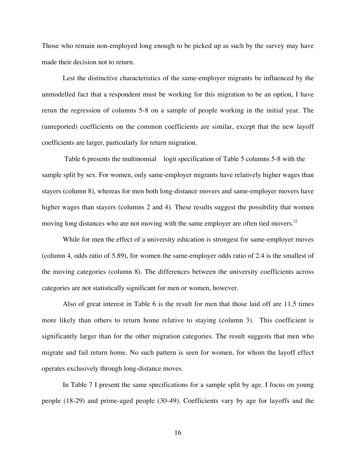Those who remain non-employed long enough to be picked up as such by the survey may have made their decision not to return.

Lest the distinctive characteristics of the same-employer migrants be influenced by the unmodelled fact that a respondent must be working for this migration to be an option, I have rerun the regression of columns 5-8 on a sample of people working in the initial year. The (unreported) coefficients on the common coefficients are similar, except that the new layoff coefficients are larger, particularly for return migration.

 Table 6 presents the multinomial logit specification of Table 5 columns 5-8 with the sample split by sex. For women, only same-employer migrants have relatively higher wages than stayers (column 8), whereas for men both long-distance movers and same-employer movers have higher wages than stayers (columns 2 and 4). These results suggest the possibility that women moving long distances who are not moving with the same employer are often tied movers.<sup>22</sup>

While for men the effect of a university education is strongest for same-employer moves (column 4, odds ratio of 5.89), for women the same-employer odds ratio of 2.4 is the smallest of the moving categories (column 8). The differences between the university coefficients across categories are not statistically significant for men or women, however.

Also of great interest in Table 6 is the result for men that those laid off are 11.5 times more likely than others to return home relative to staying (column 3). This coefficient is significantly larger than for the other migration categories. The result suggests that men who migrate and fail return home. No such pattern is seen for women, for whom the layoff effect operates exclusively through long-distance moves.

In Table 7 I present the same specifications for a sample split by age. I focus on young people (18-29) and prime-aged people (30-49). Coefficients vary by age for layoffs and the

16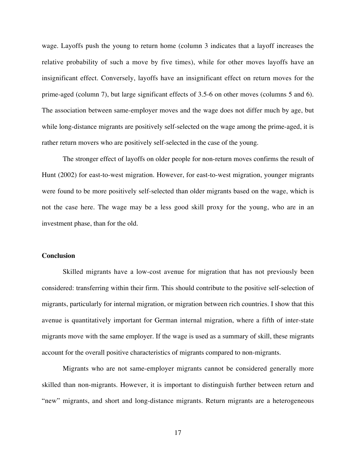wage. Layoffs push the young to return home (column 3 indicates that a layoff increases the relative probability of such a move by five times), while for other moves layoffs have an insignificant effect. Conversely, layoffs have an insignificant effect on return moves for the prime-aged (column 7), but large significant effects of 3.5-6 on other moves (columns 5 and 6). The association between same-employer moves and the wage does not differ much by age, but while long-distance migrants are positively self-selected on the wage among the prime-aged, it is rather return movers who are positively self-selected in the case of the young.

The stronger effect of layoffs on older people for non-return moves confirms the result of Hunt (2002) for east-to-west migration. However, for east-to-west migration, younger migrants were found to be more positively self-selected than older migrants based on the wage, which is not the case here. The wage may be a less good skill proxy for the young, who are in an investment phase, than for the old.

## **Conclusion**

Skilled migrants have a low-cost avenue for migration that has not previously been considered: transferring within their firm. This should contribute to the positive self-selection of migrants, particularly for internal migration, or migration between rich countries. I show that this avenue is quantitatively important for German internal migration, where a fifth of inter-state migrants move with the same employer. If the wage is used as a summary of skill, these migrants account for the overall positive characteristics of migrants compared to non-migrants.

Migrants who are not same-employer migrants cannot be considered generally more skilled than non-migrants. However, it is important to distinguish further between return and "new" migrants, and short and long-distance migrants. Return migrants are a heterogeneous

17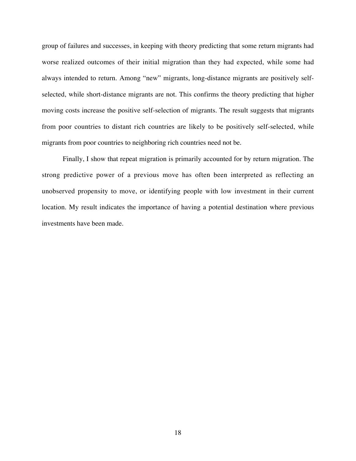group of failures and successes, in keeping with theory predicting that some return migrants had worse realized outcomes of their initial migration than they had expected, while some had always intended to return. Among "new" migrants, long-distance migrants are positively selfselected, while short-distance migrants are not. This confirms the theory predicting that higher moving costs increase the positive self-selection of migrants. The result suggests that migrants from poor countries to distant rich countries are likely to be positively self-selected, while migrants from poor countries to neighboring rich countries need not be.

Finally, I show that repeat migration is primarily accounted for by return migration. The strong predictive power of a previous move has often been interpreted as reflecting an unobserved propensity to move, or identifying people with low investment in their current location. My result indicates the importance of having a potential destination where previous investments have been made.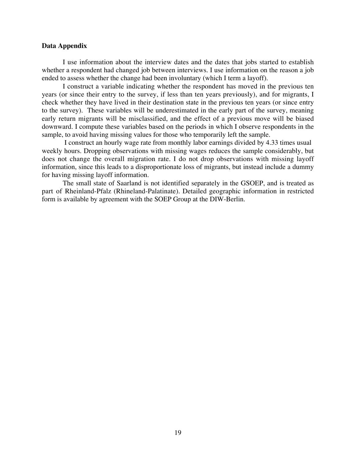#### **Data Appendix**

I use information about the interview dates and the dates that jobs started to establish whether a respondent had changed job between interviews. I use information on the reason a job ended to assess whether the change had been involuntary (which I term a layoff).

I construct a variable indicating whether the respondent has moved in the previous ten years (or since their entry to the survey, if less than ten years previously), and for migrants, I check whether they have lived in their destination state in the previous ten years (or since entry to the survey). These variables will be underestimated in the early part of the survey, meaning early return migrants will be misclassified, and the effect of a previous move will be biased downward. I compute these variables based on the periods in which I observe respondents in the sample, to avoid having missing values for those who temporarily left the sample.

 I construct an hourly wage rate from monthly labor earnings divided by 4.33 times usual weekly hours. Dropping observations with missing wages reduces the sample considerably, but does not change the overall migration rate. I do not drop observations with missing layoff information, since this leads to a disproportionate loss of migrants, but instead include a dummy for having missing layoff information.

The small state of Saarland is not identified separately in the GSOEP, and is treated as part of Rheinland-Pfalz (Rhineland-Palatinate). Detailed geographic information in restricted form is available by agreement with the SOEP Group at the DIW-Berlin.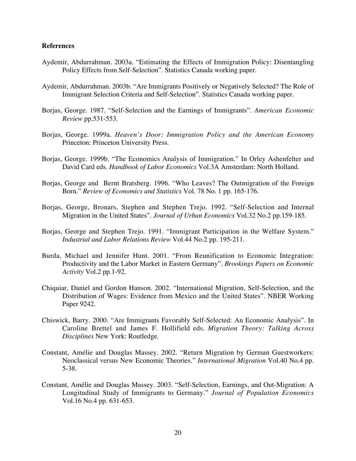### **References**

- Aydemir, Abdurrahman. 2003a. "Estimating the Effects of Immigration Policy: Disentangling Policy Effects from Self-Selection". Statistics Canada working paper.
- Aydemir, Abdurrahman. 2003b. "Are Immigrants Positively or Negatively Selected? The Role of Immigrant Selection Criteria and Self-Selection". Statistics Canada working paper.
- Borjas, George. 1987. "Self-Selection and the Earnings of Immigrants". *American Economic Review* pp.531-553.
- Borjas, George. 1999a. *Heaven's Door: Immigration Policy and the American Economy* Princeton: Princeton University Press.
- Borjas, George. 1999b. "The Economics Analysis of Immigration." In Orley Ashenfelter and David Card eds. *Handbook of Labor Economics* Vol.3A Amsterdam: North Holland.
- Borjas, George and Bernt Bratsberg. 1996. "Who Leaves? The Outmigration of the Foreign Born." *Review of Economics and Statistics* Vol. 78 No. 1 pp. 165-176.
- Borjas, George, Bronars, Stephen and Stephen Trejo. 1992. "Self-Selection and Internal Migration in the United States". *Journal of Urban Economics* Vol.32 No.2 pp.159-185.
- Borjas, George and Stephen Trejo. 1991. "Immigrant Participation in the Welfare System." *Industrial and Labor Relations Review* Vol.44 No.2 pp. 195-211.
- Burda, Michael and Jennifer Hunt. 2001. "From Reunification to Economic Integration: Productivity and the Labor Market in Eastern Germany". *Brookings Papers on Economic Activity* Vol.2 pp.1-92.
- Chiquiar, Daniel and Gordon Hanson. 2002. "International Migration, Self-Selection, and the Distribution of Wages: Evidence from Mexico and the United States". NBER Working Paper 9242.
- Chiswick, Barry. 2000. "Are Immigrants Favorably Self-Selected: An Economic Analysis". In Caroline Brettel and James F. Hollifield eds. *Migration Theory: Talking Across Disciplines* New York: Routledge.
- Constant, Amélie and Douglas Massey. 2002. "Return Migration by German Guestworkers: Neoclassical versus New Economic Theories." *International Migration* Vol.40 No.4 pp. 5-38.
- Constant, Amélie and Douglas Massey. 2003. "Self-Selection, Earnings, and Out-Migration: A Longitudinal Study of Immigrants to Germany." *Journal of Population Economics* Vol.16 No.4 pp. 631-653.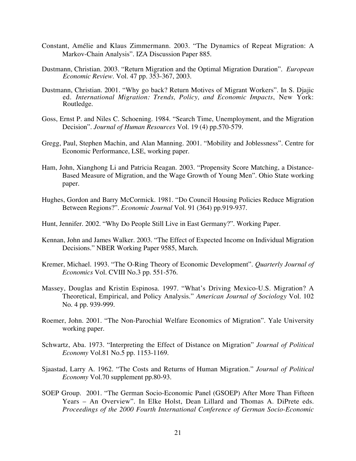- Constant, Amélie and Klaus Zimmermann. 2003. "The Dynamics of Repeat Migration: A Markov-Chain Analysis". IZA Discussion Paper 885.
- Dustmann, Christian. 2003. "Return Migration and the Optimal Migration Duration". *European Economic Review*. Vol. 47 pp. 353-367, 2003.
- Dustmann, Christian. 2001. "Why go back? Return Motives of Migrant Workers". In S. Djajic ed. *International Migration: Trends, Policy, and Economic Impacts*, New York: Routledge.
- Goss, Ernst P. and Niles C. Schoening. 1984. "Search Time, Unemployment, and the Migration Decision". *Journal of Human Resources* Vol. 19 (4) pp.570-579.
- Gregg, Paul, Stephen Machin, and Alan Manning. 2001. "Mobility and Joblessness". Centre for Economic Performance, LSE, working paper.
- Ham, John, Xianghong Li and Patricia Reagan. 2003. "Propensity Score Matching, a Distance-Based Measure of Migration, and the Wage Growth of Young Men". Ohio State working paper.
- Hughes, Gordon and Barry McCormick. 1981. "Do Council Housing Policies Reduce Migration Between Regions?". *Economic Journal* Vol. 91 (364) pp.919-937.
- Hunt, Jennifer. 2002. "Why Do People Still Live in East Germany?". Working Paper.
- Kennan, John and James Walker. 2003. "The Effect of Expected Income on Individual Migration Decisions." NBER Working Paper 9585, March.
- Kremer, Michael. 1993. "The O-Ring Theory of Economic Development". *Quarterly Journal of Economics* Vol. CVIII No.3 pp. 551-576.
- Massey, Douglas and Kristin Espinosa. 1997. "What's Driving Mexico-U.S. Migration? A Theoretical, Empirical, and Policy Analysis." *American Journal of Sociology* Vol. 102 No. 4 pp. 939-999.
- Roemer, John. 2001. "The Non-Parochial Welfare Economics of Migration". Yale University working paper.
- Schwartz, Aba. 1973. "Interpreting the Effect of Distance on Migration" *Journal of Political Economy* Vol.81 No.5 pp. 1153-1169.
- Sjaastad, Larry A. 1962. "The Costs and Returns of Human Migration." *Journal of Political Economy* Vol.70 supplement pp.80-93.
- SOEP Group. 2001. "The German Socio-Economic Panel (GSOEP) After More Than Fifteen Years – An Overview". In Elke Holst, Dean Lillard and Thomas A. DiPrete eds. *Proceedings of the 2000 Fourth International Conference of German Socio-Economic*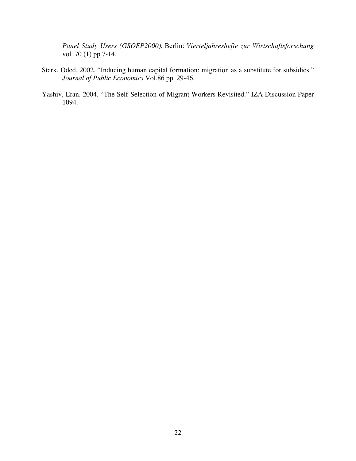*Panel Study Users (GSOEP2000)*, Berlin: *Vierteljahreshefte zur Wirtschaftsforschung* vol. 70 (1) pp.7-14.

- Stark, Oded. 2002. "Inducing human capital formation: migration as a substitute for subsidies." *Journal of Public Economics* Vol.86 pp. 29-46.
- Yashiv, Eran. 2004. "The Self-Selection of Migrant Workers Revisited." IZA Discussion Paper 1094.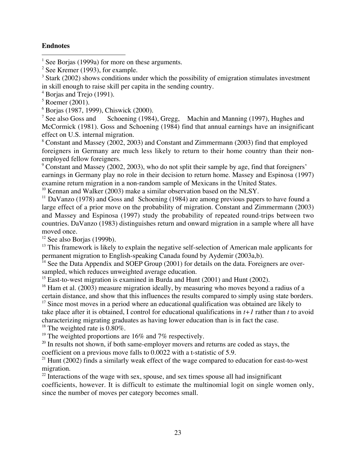## **Endnotes**

 $\frac{1}{1}$ <sup>1</sup> See Borjas (1999a) for more on these arguments.

 $3$  Stark (2002) shows conditions under which the possibility of emigration stimulates investment in skill enough to raise skill per capita in the sending country.

4 Borjas and Trejo (1991).

5 Roemer (2001).

6 Borjas (1987, 1999), Chiswick (2000).

<sup>7</sup> See also Goss and Schoening (1984), Gregg, Machin and Manning (1997), Hughes and McCormick (1981). Goss and Schoening (1984) find that annual earnings have an insignificant effect on U.S. internal migration.

8 Constant and Massey (2002, 2003) and Constant and Zimmermann (2003) find that employed foreigners in Germany are much less likely to return to their home country than their nonemployed fellow foreigners.

<sup>9</sup> Constant and Massey (2002, 2003), who do not split their sample by age, find that foreigners' earnings in Germany play no role in their decision to return home. Massey and Espinosa (1997) examine return migration in a non-random sample of Mexicans in the United States.

 $10$  Kennan and Walker (2003) make a similar observation based on the NLSY.

<sup>11</sup> DaVanzo (1978) and Goss and Schoening (1984) are among previous papers to have found a large effect of a prior move on the probability of migration. Constant and Zimmermann (2003) and Massey and Espinosa (1997) study the probability of repeated round-trips between two countries. DaVanzo (1983) distinguishes return and onward migration in a sample where all have moved once.

<sup>12</sup> See also Borjas (1999b).

<sup>13</sup> This framework is likely to explain the negative self-selection of American male applicants for permanent migration to English-speaking Canada found by Aydemir (2003a,b).

<sup>14</sup> See the Data Appendix and SOEP Group (2001) for details on the data. Foreigners are oversampled, which reduces unweighted average education.

<sup>15</sup> East-to-west migration is examined in Burda and Hunt (2001) and Hunt (2002).

<sup>16</sup> Ham et al. (2003) measure migration ideally, by measuring who moves beyond a radius of a certain distance, and show that this influences the results compared to simply using state borders.

<sup>17</sup> Since most moves in a period where an educational qualification was obtained are likely to take place after it is obtained, I control for educational qualifications in *t+1* rather than *t* to avoid characterizing migrating graduates as having lower education than is in fact the case.

 $18$  The weighted rate is 0.80%.

<sup>19</sup> The weighted proportions are 16% and 7% respectively.

 $20$  In results not shown, if both same-employer movers and returns are coded as stays, the coefficient on a previous move falls to 0.0022 with a t-statistic of 5.9.

<sup>21</sup> Hunt (2002) finds a similarly weak effect of the wage compared to education for east-to-west migration.

 $2<sup>22</sup>$  Interactions of the wage with sex, spouse, and sex times spouse all had insignificant coefficients, however. It is difficult to estimate the multinomial logit on single women only, since the number of moves per category becomes small.

 $2$  See Kremer (1993), for example.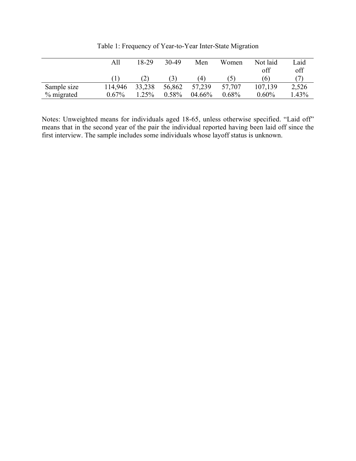|             | All     | 18-29                | 30-49  | Men    | Women  | Not laid | Laid    |
|-------------|---------|----------------------|--------|--------|--------|----------|---------|
|             |         |                      |        |        |        | off      | off     |
|             |         | $\mathbf{2}^{\cdot}$ |        | (4)    | . C .  | (6)      |         |
| Sample size | 114,946 | 33,238               | 56,862 | 57,239 | 57,707 | 107,139  | 2,526   |
| % migrated  | 0.67%   | .25%                 | 0.58%  | 04.66% | 0.68%  | 0.60%    | $.43\%$ |

Table 1: Frequency of Year-to-Year Inter-State Migration

Notes: Unweighted means for individuals aged 18-65, unless otherwise specified. "Laid off" means that in the second year of the pair the individual reported having been laid off since the first interview. The sample includes some individuals whose layoff status is unknown.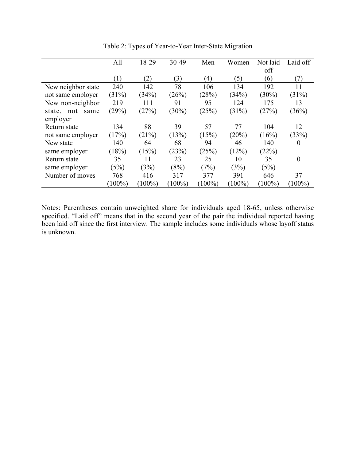|                    | All       | 18-29     | 30-49     | Men       | Women     | Not laid  | Laid off       |
|--------------------|-----------|-----------|-----------|-----------|-----------|-----------|----------------|
|                    |           |           |           |           |           | off       |                |
|                    | (1)       | (2)       | (3)       | (4)       | (5)       | (6)       | (7)            |
| New neighbor state | 240       | 142       | 78        | 106       | 134       | 192       | 11             |
| not same employer  | (31%)     | (34%)     | (26%)     | (28%)     | (34%)     | $(30\%)$  | (31%)          |
| New non-neighbor   | 219       | 111       | 91        | 95        | 124       | 175       | 13             |
| state, not<br>same | (29%)     | (27%)     | $(30\%)$  | (25%)     | $(31\%)$  | (27%)     | (36%)          |
| employer           |           |           |           |           |           |           |                |
| Return state       | 134       | 88        | 39        | 57        | 77        | 104       | 12             |
| not same employer  | (17%)     | (21%)     | (13%)     | (15%)     | (20%)     | (16%)     | (33%)          |
| New state          | 140       | 64        | 68        | 94        | 46        | 140       | $\theta$       |
| same employer      | (18%)     | (15%)     | (23%)     | (25%)     | (12%)     | (22%)     |                |
| Return state       | 35        | 11        | 23        | 25        | 10        | 35        | $\overline{0}$ |
| same employer      | (5%)      | (3%)      | (8%)      | (7%)      | (3%)      | (5%)      |                |
| Number of moves    | 768       | 416       | 317       | 377       | 391       | 646       | 37             |
|                    | $(100\%)$ | $(100\%)$ | $(100\%)$ | $(100\%)$ | $(100\%)$ | $(100\%)$ | $(100\%)$      |

Table 2: Types of Year-to-Year Inter-State Migration

Notes: Parentheses contain unweighted share for individuals aged 18-65, unless otherwise specified. "Laid off" means that in the second year of the pair the individual reported having been laid off since the first interview. The sample includes some individuals whose layoff status is unknown.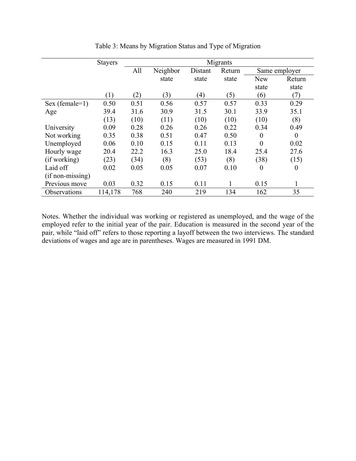|                    | <b>Stayers</b> | Migrants |          |         |       |                  |                  |  |  |
|--------------------|----------------|----------|----------|---------|-------|------------------|------------------|--|--|
|                    |                | All      | Neighbor | Distant |       |                  | Same employer    |  |  |
|                    |                |          | state    | state   | state | <b>New</b>       | Return           |  |  |
|                    |                |          |          |         |       | state            | state            |  |  |
|                    | (1)            | (2)      | (3)      | (4)     | (5)   | (6)              | (7)              |  |  |
| Sex (female=1)     | 0.50           | 0.51     | 0.56     | 0.57    | 0.57  | 0.33             | 0.29             |  |  |
| Age                | 39.4           | 31.6     | 30.9     | 31.5    | 30.1  | 33.9             | 35.1             |  |  |
|                    | (13)           | (10)     | (11)     | (10)    | (10)  | (10)             | (8)              |  |  |
| University         | 0.09           | 0.28     | 0.26     | 0.26    | 0.22  | 0.34             | 0.49             |  |  |
| Not working        | 0.35           | 0.38     | 0.51     | 0.47    | 0.50  | $\boldsymbol{0}$ | $\theta$         |  |  |
| Unemployed         | 0.06           | 0.10     | 0.15     | 0.11    | 0.13  | $\overline{0}$   | 0.02             |  |  |
| Hourly wage        | 20.4           | 22.2     | 16.3     | 25.0    | 18.4  | 25.4             | 27.6             |  |  |
| (if working)       | (23)           | (34)     | (8)      | (53)    | (8)   | (38)             | (15)             |  |  |
| Laid off           | 0.02           | 0.05     | 0.05     | 0.07    | 0.10  | $\boldsymbol{0}$ | $\boldsymbol{0}$ |  |  |
| $(if non-missing)$ |                |          |          |         |       |                  |                  |  |  |
| Previous move      | 0.03           | 0.32     | 0.15     | 0.11    |       | 0.15             | 1                |  |  |
| Observations       | 114,178        | 768      | 240      | 219     | 134   | 162              | 35               |  |  |

Table 3: Means by Migration Status and Type of Migration

Notes. Whether the individual was working or registered as unemployed, and the wage of the employed refer to the initial year of the pair. Education is measured in the second year of the pair, while "laid off" refers to those reporting a layoff between the two interviews. The standard deviations of wages and age are in parentheses. Wages are measured in 1991 DM.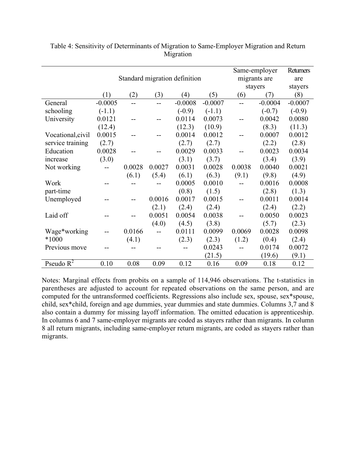|                   |           |                               |                | Same-employer     | Returners |                |           |           |
|-------------------|-----------|-------------------------------|----------------|-------------------|-----------|----------------|-----------|-----------|
|                   |           | Standard migration definition |                | migrants are      |           | are            |           |           |
|                   |           |                               |                |                   |           | stayers        | stayers   |           |
|                   | (1)       | (2)                           | (3)            | $\left( 4\right)$ | (5)       | (6)            | (7)       | (8)       |
| General           | $-0.0005$ |                               | $\overline{a}$ | $-0.0008$         | $-0.0007$ | $\overline{a}$ | $-0.0004$ | $-0.0007$ |
| schooling         | $(-1.1)$  |                               |                | $(-0.9)$          | $(-1.1)$  |                | $(-0.7)$  | $(-0.9)$  |
| University        | 0.0121    |                               |                | 0.0114            | 0.0073    |                | 0.0042    | 0.0080    |
|                   | (12.4)    |                               |                | (12.3)            | (10.9)    |                | (8.3)     | (11.3)    |
| Vocational, civil | 0.0015    |                               |                | 0.0014            | 0.0012    |                | 0.0007    | 0.0012    |
| service training  | (2.7)     |                               |                | (2.7)             | (2.7)     |                | (2.2)     | (2.8)     |
| Education         | 0.0028    |                               |                | 0.0029            | 0.0033    |                | 0.0023    | 0.0034    |
| increase          | (3.0)     |                               |                | (3.1)             | (3.7)     |                | (3.4)     | (3.9)     |
| Not working       |           | 0.0028                        | 0.0027         | 0.0031            | 0.0028    | 0.0038         | 0.0040    | 0.0021    |
|                   |           | (6.1)                         | (5.4)          | (6.1)             | (6.3)     | (9.1)          | (9.8)     | (4.9)     |
| Work              |           |                               |                | 0.0005            | 0.0010    | $-$            | 0.0016    | 0.0008    |
| part-time         |           |                               |                | (0.8)             | (1.5)     |                | (2.8)     | (1.3)     |
| Unemployed        |           |                               | 0.0016         | 0.0017            | 0.0015    | $-$            | 0.0011    | 0.0014    |
|                   |           |                               | (2.1)          | (2.4)             | (2.4)     |                | (2.4)     | (2.2)     |
| Laid off          |           |                               | 0.0051         | 0.0054            | 0.0038    |                | 0.0050    | 0.0023    |
|                   |           |                               | (4.0)          | (4.5)             | (3.8)     |                | (5.7)     | (2.3)     |
| Wage*working      |           | 0.0166                        | $-$            | 0.0111            | 0.0099    | 0.0069         | 0.0028    | 0.0098    |
| $*1000$           |           | (4.1)                         |                | (2.3)             | (2.3)     | (1.2)          | (0.4)     | (2.4)     |
| Previous move     |           |                               |                |                   | 0.0243    |                | 0.0174    | 0.0072    |
|                   |           |                               |                |                   | (21.5)    |                | (19.6)    | (9.1)     |
| Pseudo $R^2$      | 0.10      | 0.08                          | 0.09           | 0.12              | 0.16      | 0.09           | 0.18      | 0.12      |

Table 4: Sensitivity of Determinants of Migration to Same-Employer Migration and Return Migration

Notes: Marginal effects from probits on a sample of 114,946 observations. The t-statistics in parentheses are adjusted to account for repeated observations on the same person, and are computed for the untransformed coefficients. Regressions also include sex, spouse, sex\*spouse, child, sex\*child, foreign and age dummies, year dummies and state dummies. Columns 3,7 and 8 also contain a dummy for missing layoff information. The omitted education is apprenticeship. In columns 6 and 7 same-employer migrants are coded as stayers rather than migrants. In column 8 all return migrants, including same-employer return migrants, are coded as stayers rather than migrants.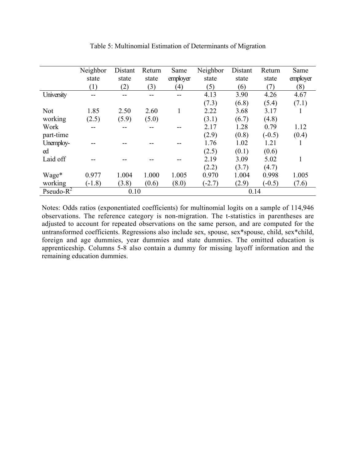|               | Neighbor | Distant | Return | Same     | Neighbor | Distant | Return   | Same     |
|---------------|----------|---------|--------|----------|----------|---------|----------|----------|
|               | state    | state   | state  | employer | state    | state   | state    | employer |
|               | (1)      | (2)     | (3)    | (4)      | (5)      | (6)     | (7)      | (8)      |
| University    | --       |         |        |          | 4.13     | 3.90    | 4.26     | 4.67     |
|               |          |         |        |          | (7.3)    | (6.8)   | (5.4)    | (7.1)    |
| <b>Not</b>    | 1.85     | 2.50    | 2.60   |          | 2.22     | 3.68    | 3.17     |          |
| working       | (2.5)    | (5.9)   | (5.0)  |          | (3.1)    | (6.7)   | (4.8)    |          |
| Work          |          |         |        |          | 2.17     | 1.28    | 0.79     | 1.12     |
| part-time     |          |         |        |          | (2.9)    | (0.8)   | $(-0.5)$ | (0.4)    |
| Unemploy-     |          |         |        |          | 1.76     | 1.02    | 1.21     |          |
| ed            |          |         |        |          | (2.5)    | (0.1)   | (0.6)    |          |
| Laid off      |          |         |        |          | 2.19     | 3.09    | 5.02     | 1        |
|               |          |         |        |          | (2.2)    | (3.7)   | (4.7)    |          |
| Wage*         | 0.977    | 1.004   | 1.000  | 1.005    | 0.970    | 1.004   | 0.998    | 1.005    |
| working       | $(-1.8)$ | (3.8)   | (0.6)  | (8.0)    | $(-2.7)$ | (2.9)   | $(-0.5)$ | (7.6)    |
| Pseudo- $R^2$ | 0.10     |         |        |          | 0.14     |         |          |          |

Table 5: Multinomial Estimation of Determinants of Migration

Notes: Odds ratios (exponentiated coefficients) for multinomial logits on a sample of 114,946 observations. The reference category is non-migration. The t-statistics in parentheses are adjusted to account for repeated observations on the same person, and are computed for the untransformed coefficients. Regressions also include sex, spouse, sex\*spouse, child, sex\*child, foreign and age dummies, year dummies and state dummies. The omitted education is apprenticeship. Columns 5-8 also contain a dummy for missing layoff information and the remaining education dummies.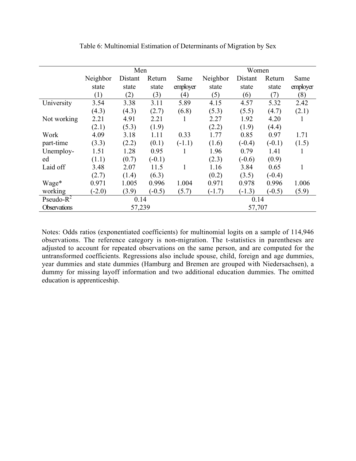|                     |          | Men     |          |                  | Women    |          |          |              |  |
|---------------------|----------|---------|----------|------------------|----------|----------|----------|--------------|--|
|                     | Neighbor | Distant | Return   | Same             | Neighbor | Distant  | Return   | Same         |  |
|                     | state    | state   | state    | employer         | state    | state    | state    | employer     |  |
|                     | (1)      | (2)     | (3)      | $\left(4\right)$ | (5)      | (6)      | (7)      | (8)          |  |
| University          | 3.54     | 3.38    | 3.11     | 5.89             | 4.15     | 4.57     | 5.32     | 2.42         |  |
|                     | (4.3)    | (4.3)   | (2.7)    | (6.8)            | (5.3)    | (5.5)    | (4.7)    | (2.1)        |  |
| Not working         | 2.21     | 4.91    | 2.21     |                  | 2.27     | 1.92     | 4.20     | $\mathbf{I}$ |  |
|                     | (2.1)    | (5.3)   | (1.9)    |                  | (2.2)    | (1.9)    | (4.4)    |              |  |
| Work                | 4.09     | 3.18    | 1.11     | 0.33             | 1.77     | 0.85     | 0.97     | 1.71         |  |
| part-time           | (3.3)    | (2.2)   | (0.1)    | $(-1.1)$         | (1.6)    | $(-0.4)$ | $(-0.1)$ | (1.5)        |  |
| Unemploy-           | 1.51     | 1.28    | 0.95     |                  | 1.96     | 0.79     | 1.41     | 1            |  |
| ed                  | (1.1)    | (0.7)   | $(-0.1)$ |                  | (2.3)    | $(-0.6)$ | (0.9)    |              |  |
| Laid off            | 3.48     | 2.07    | 11.5     |                  | 1.16     | 3.84     | 0.65     | 1            |  |
|                     | (2.7)    | (1.4)   | (6.3)    |                  | (0.2)    | (3.5)    | $(-0.4)$ |              |  |
| Wage*               | 0.971    | 1.005   | 0.996    | 1.004            | 0.971    | 0.978    | 0.996    | 1.006        |  |
| working             | $(-2.0)$ | (3.9)   | $(-0.5)$ | (5.7)            | $(-1.7)$ | $(-1.3)$ | $(-0.5)$ | (5.9)        |  |
| Pseudo- $R^2$       |          | 0.14    |          |                  | 0.14     |          |          |              |  |
| <b>Observations</b> |          | 57,239  |          |                  |          | 57,707   |          |              |  |

Table 6: Multinomial Estimation of Determinants of Migration by Sex

Notes: Odds ratios (exponentiated coefficients) for multinomial logits on a sample of 114,946 observations. The reference category is non-migration. The t-statistics in parentheses are adjusted to account for repeated observations on the same person, and are computed for the untransformed coefficients. Regressions also include spouse, child, foreign and age dummies, year dummies and state dummies (Hamburg and Bremen are grouped with Niedersachsen), a dummy for missing layoff information and two additional education dummies. The omitted education is apprenticeship.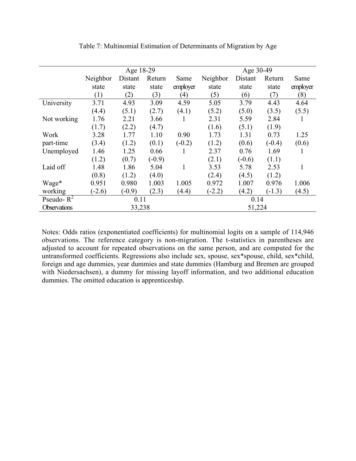|                     |          | Age 18-29 |          |          | Age 30-49 |          |          |          |  |
|---------------------|----------|-----------|----------|----------|-----------|----------|----------|----------|--|
|                     | Neighbor | Distant   | Return   | Same     | Neighbor  | Distant  | Return   | Same     |  |
|                     | state    | state     | state    | employer | state     | state    | state    | employer |  |
|                     | (1)      | (2)       | (3)      | (4)      | (5)       | (6)      | (7)      | (8)      |  |
| University          | 3.71     | 4.93      | 3.09     | 4.59     | 5.05      | 3.79     | 4.43     | 4.64     |  |
|                     | (4.4)    | (5.1)     | (2.7)    | (4.1)    | (5.2)     | (5.0)    | (3.5)    | (5.5)    |  |
| Not working         | 1.76     | 2.21      | 3.66     |          | 2.31      | 5.59     | 2.84     | 1        |  |
|                     | (1.7)    | (2.2)     | (4.7)    |          | (1.6)     | (5.1)    | (1.9)    |          |  |
| Work                | 3.28     | 1.77      | 1.10     | 0.90     | 1.73      | 1.31     | 0.73     | 1.25     |  |
| part-time           | (3.4)    | (1.2)     | (0.1)    | $(-0.2)$ | (1.2)     | (0.6)    | $(-0.4)$ | (0.6)    |  |
| Unemployed          | 1.46     | 1.25      | 0.66     |          | 2.37      | 0.76     | 1.69     | 1        |  |
|                     | (1.2)    | (0.7)     | $(-0.9)$ |          | (2.1)     | $(-0.6)$ | (1.1)    |          |  |
| Laid off            | 1.48     | 1.86      | 5.04     | 1        | 3.53      | 5.78     | 2.53     | 1        |  |
|                     | (0.8)    | (1.2)     | (4.0)    |          | (2.4)     | (4.5)    | (1.2)    |          |  |
| Wage*               | 0.951    | 0.980     | 1.003    | 1.005    | 0.972     | 1.007    | 0.976    | 1.006    |  |
| working             | $(-2.6)$ | $(-0.9)$  | (2.3)    | (4.4)    | $(-2.2)$  | (4.2)    | $(-1.3)$ | (4.5)    |  |
| Pseudo- $R^2$       | 0.11     |           |          |          | 0.14      |          |          |          |  |
| <b>Observations</b> |          | 33,238    |          |          |           | 51,224   |          |          |  |

Table 7: Multinomial Estimation of Determinants of Migration by Age

Notes: Odds ratios (exponentiated coefficients) for multinomial logits on a sample of 114,946 observations. The reference category is non-migration. The t-statistics in parentheses are adjusted to account for repeated observations on the same person, and are computed for the untransformed coefficients. Regressions also include sex, spouse, sex\*spouse, child, sex\*child, foreign and age dummies, year dummies and state dummies (Hamburg and Bremen are grouped with Niedersachsen), a dummy for missing layoff information, and two additional education dummies. The omitted education is apprenticeship.